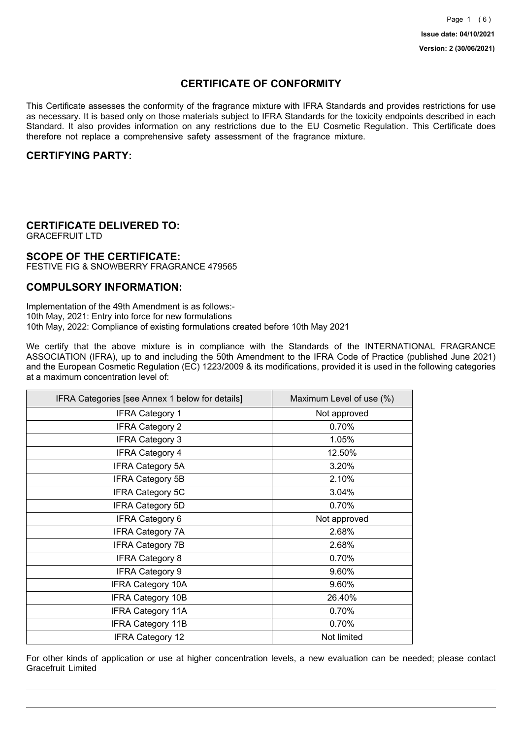## **CERTIFICATE OF CONFORMITY**

This Certificate assesses the conformity of the fragrance mixture with IFRA Standards and provides restrictions for use as necessary. It is based only on those materials subject to IFRA Standards for the toxicity endpoints described in each Standard. It also provides information on any restrictions due to the EU Cosmetic Regulation. This Certificate does therefore not replace a comprehensive safety assessment of the fragrance mixture.

### **CERTIFYING PARTY:**

## **CERTIFICATE DELIVERED TO:**

GRACEFRUIT LTD

### **SCOPE OF THE CERTIFICATE:**

FESTIVE FIG & SNOWBERRY FRAGRANCE 479565

### **COMPULSORY INFORMATION:**

Implementation of the 49th Amendment is as follows:- 10th May, 2021: Entry into force for new formulations 10th May, 2022: Compliance of existing formulations created before 10th May 2021

We certify that the above mixture is in compliance with the Standards of the INTERNATIONAL FRAGRANCE ASSOCIATION (IFRA), up to and including the 50th Amendment to the IFRA Code of Practice (published June 2021) and the European Cosmetic Regulation (EC) 1223/2009 & its modifications, provided it is used in the following categories at a maximum concentration level of:

| IFRA Categories [see Annex 1 below for details] | Maximum Level of use (%) |
|-------------------------------------------------|--------------------------|
| <b>IFRA Category 1</b>                          | Not approved             |
| <b>IFRA Category 2</b>                          | 0.70%                    |
| <b>IFRA Category 3</b>                          | 1.05%                    |
| <b>IFRA Category 4</b>                          | 12.50%                   |
| <b>IFRA Category 5A</b>                         | 3.20%                    |
| <b>IFRA Category 5B</b>                         | 2.10%                    |
| IFRA Category 5C                                | 3.04%                    |
| <b>IFRA Category 5D</b>                         | 0.70%                    |
| <b>IFRA Category 6</b>                          | Not approved             |
| <b>IFRA Category 7A</b>                         | 2.68%                    |
| <b>IFRA Category 7B</b>                         | 2.68%                    |
| <b>IFRA Category 8</b>                          | 0.70%                    |
| <b>IFRA Category 9</b>                          | 9.60%                    |
| <b>IFRA Category 10A</b>                        | 9.60%                    |
| <b>IFRA Category 10B</b>                        | 26.40%                   |
| <b>IFRA Category 11A</b>                        | 0.70%                    |
| IFRA Category 11B                               | 0.70%                    |
| <b>IFRA Category 12</b>                         | Not limited              |

For other kinds of application or use at higher concentration levels, a new evaluation can be needed; please contact Gracefruit Limited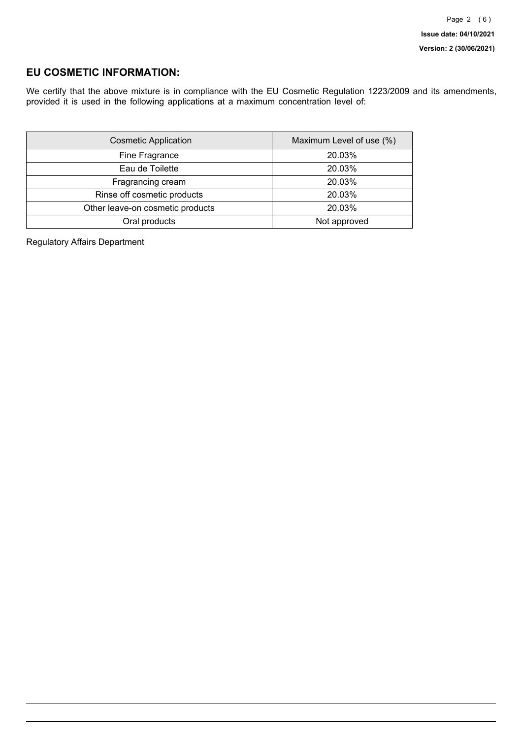## **EU COSMETIC INFORMATION:**

We certify that the above mixture is in compliance with the EU Cosmetic Regulation 1223/2009 and its amendments, provided it is used in the following applications at a maximum concentration level of:

| <b>Cosmetic Application</b>      | Maximum Level of use (%) |
|----------------------------------|--------------------------|
| Fine Fragrance                   | 20.03%                   |
| Eau de Toilette                  | 20.03%                   |
| Fragrancing cream                | 20.03%                   |
| Rinse off cosmetic products      | 20.03%                   |
| Other leave-on cosmetic products | 20.03%                   |
| Oral products                    | Not approved             |

Regulatory Affairs Department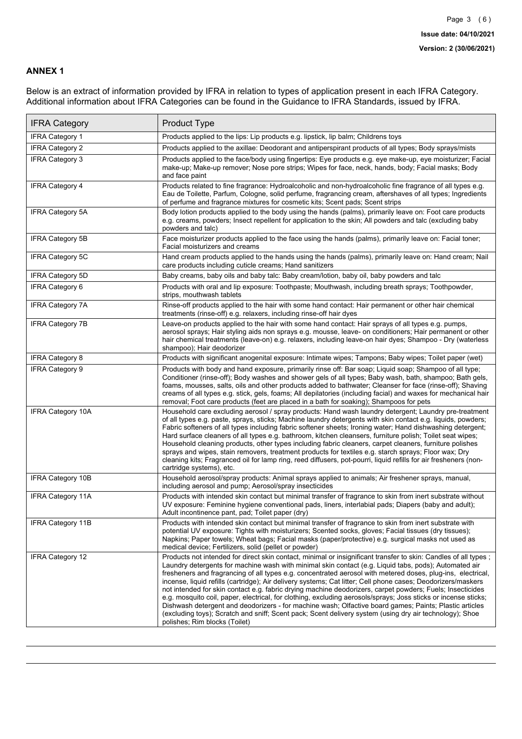### **ANNEX 1**

Below is an extract of information provided by IFRA in relation to types of application present in each IFRA Category. Additional information about IFRA Categories can be found in the Guidance to IFRA Standards, issued by IFRA.

| <b>IFRA Category</b>     | Product Type                                                                                                                                                                                                                                                                                                                                                                                                                                                                                                                                                                                                                                                                                                                                                                                                                                                                                                                                 |
|--------------------------|----------------------------------------------------------------------------------------------------------------------------------------------------------------------------------------------------------------------------------------------------------------------------------------------------------------------------------------------------------------------------------------------------------------------------------------------------------------------------------------------------------------------------------------------------------------------------------------------------------------------------------------------------------------------------------------------------------------------------------------------------------------------------------------------------------------------------------------------------------------------------------------------------------------------------------------------|
| <b>IFRA Category 1</b>   | Products applied to the lips: Lip products e.g. lipstick, lip balm; Childrens toys                                                                                                                                                                                                                                                                                                                                                                                                                                                                                                                                                                                                                                                                                                                                                                                                                                                           |
| <b>IFRA Category 2</b>   | Products applied to the axillae: Deodorant and antiperspirant products of all types; Body sprays/mists                                                                                                                                                                                                                                                                                                                                                                                                                                                                                                                                                                                                                                                                                                                                                                                                                                       |
| <b>IFRA Category 3</b>   | Products applied to the face/body using fingertips: Eye products e.g. eye make-up, eye moisturizer; Facial<br>make-up; Make-up remover; Nose pore strips; Wipes for face, neck, hands, body; Facial masks; Body<br>and face paint                                                                                                                                                                                                                                                                                                                                                                                                                                                                                                                                                                                                                                                                                                            |
| <b>IFRA Category 4</b>   | Products related to fine fragrance: Hydroalcoholic and non-hydroalcoholic fine fragrance of all types e.g.<br>Eau de Toilette, Parfum, Cologne, solid perfume, fragrancing cream, aftershaves of all types; Ingredients<br>of perfume and fragrance mixtures for cosmetic kits; Scent pads; Scent strips                                                                                                                                                                                                                                                                                                                                                                                                                                                                                                                                                                                                                                     |
| <b>IFRA Category 5A</b>  | Body lotion products applied to the body using the hands (palms), primarily leave on: Foot care products<br>e.g. creams, powders; Insect repellent for application to the skin; All powders and talc (excluding baby<br>powders and talc)                                                                                                                                                                                                                                                                                                                                                                                                                                                                                                                                                                                                                                                                                                    |
| IFRA Category 5B         | Face moisturizer products applied to the face using the hands (palms), primarily leave on: Facial toner;<br>Facial moisturizers and creams                                                                                                                                                                                                                                                                                                                                                                                                                                                                                                                                                                                                                                                                                                                                                                                                   |
| IFRA Category 5C         | Hand cream products applied to the hands using the hands (palms), primarily leave on: Hand cream; Nail<br>care products including cuticle creams; Hand sanitizers                                                                                                                                                                                                                                                                                                                                                                                                                                                                                                                                                                                                                                                                                                                                                                            |
| <b>IFRA Category 5D</b>  | Baby creams, baby oils and baby talc: Baby cream/lotion, baby oil, baby powders and talc                                                                                                                                                                                                                                                                                                                                                                                                                                                                                                                                                                                                                                                                                                                                                                                                                                                     |
| IFRA Category 6          | Products with oral and lip exposure: Toothpaste; Mouthwash, including breath sprays; Toothpowder,<br>strips, mouthwash tablets                                                                                                                                                                                                                                                                                                                                                                                                                                                                                                                                                                                                                                                                                                                                                                                                               |
| <b>IFRA Category 7A</b>  | Rinse-off products applied to the hair with some hand contact: Hair permanent or other hair chemical<br>treatments (rinse-off) e.g. relaxers, including rinse-off hair dyes                                                                                                                                                                                                                                                                                                                                                                                                                                                                                                                                                                                                                                                                                                                                                                  |
| <b>IFRA Category 7B</b>  | Leave-on products applied to the hair with some hand contact: Hair sprays of all types e.g. pumps,<br>aerosol sprays; Hair styling aids non sprays e.g. mousse, leave- on conditioners; Hair permanent or other<br>hair chemical treatments (leave-on) e.g. relaxers, including leave-on hair dyes; Shampoo - Dry (waterless<br>shampoo); Hair deodorizer                                                                                                                                                                                                                                                                                                                                                                                                                                                                                                                                                                                    |
| <b>IFRA Category 8</b>   | Products with significant anogenital exposure: Intimate wipes; Tampons; Baby wipes; Toilet paper (wet)                                                                                                                                                                                                                                                                                                                                                                                                                                                                                                                                                                                                                                                                                                                                                                                                                                       |
| IFRA Category 9          | Products with body and hand exposure, primarily rinse off: Bar soap; Liquid soap; Shampoo of all type;<br>Conditioner (rinse-off); Body washes and shower gels of all types; Baby wash, bath, shampoo; Bath gels,<br>foams, mousses, salts, oils and other products added to bathwater; Cleanser for face (rinse-off); Shaving<br>creams of all types e.g. stick, gels, foams; All depilatories (including facial) and waxes for mechanical hair<br>removal; Foot care products (feet are placed in a bath for soaking); Shampoos for pets                                                                                                                                                                                                                                                                                                                                                                                                   |
| <b>IFRA Category 10A</b> | Household care excluding aerosol / spray products: Hand wash laundry detergent; Laundry pre-treatment<br>of all types e.g. paste, sprays, sticks; Machine laundry detergents with skin contact e.g. liquids, powders;<br>Fabric softeners of all types including fabric softener sheets; Ironing water; Hand dishwashing detergent;<br>Hard surface cleaners of all types e.g. bathroom, kitchen cleansers, furniture polish; Toilet seat wipes;<br>Household cleaning products, other types including fabric cleaners, carpet cleaners, furniture polishes<br>sprays and wipes, stain removers, treatment products for textiles e.g. starch sprays; Floor wax; Dry<br>cleaning kits; Fragranced oil for lamp ring, reed diffusers, pot-pourri, liquid refills for air fresheners (non-<br>cartridge systems), etc.                                                                                                                          |
| <b>IFRA Category 10B</b> | Household aerosol/spray products: Animal sprays applied to animals; Air freshener sprays, manual,<br>including aerosol and pump; Aerosol/spray insecticides                                                                                                                                                                                                                                                                                                                                                                                                                                                                                                                                                                                                                                                                                                                                                                                  |
| <b>IFRA Category 11A</b> | Products with intended skin contact but minimal transfer of fragrance to skin from inert substrate without<br>UV exposure: Feminine hygiene conventional pads, liners, interlabial pads; Diapers (baby and adult);<br>Adult incontinence pant, pad; Toilet paper (dry)                                                                                                                                                                                                                                                                                                                                                                                                                                                                                                                                                                                                                                                                       |
| <b>IFRA Category 11B</b> | Products with intended skin contact but minimal transfer of fragrance to skin from inert substrate with<br>potential UV exposure: Tights with moisturizers; Scented socks, gloves; Facial tissues (dry tissues);<br>Napkins; Paper towels; Wheat bags; Facial masks (paper/protective) e.g. surgical masks not used as<br>medical device; Fertilizers, solid (pellet or powder)                                                                                                                                                                                                                                                                                                                                                                                                                                                                                                                                                              |
| <b>IFRA Category 12</b>  | Products not intended for direct skin contact, minimal or insignificant transfer to skin: Candles of all types;<br>Laundry detergents for machine wash with minimal skin contact (e.g. Liquid tabs, pods); Automated air<br>fresheners and fragrancing of all types e.g. concentrated aerosol with metered doses, plug-ins, electrical,<br>incense, liquid refills (cartridge); Air delivery systems; Cat litter; Cell phone cases; Deodorizers/maskers<br>not intended for skin contact e.g. fabric drying machine deodorizers, carpet powders; Fuels; Insecticides<br>e.g. mosquito coil, paper, electrical, for clothing, excluding aerosols/sprays; Joss sticks or incense sticks;<br>Dishwash detergent and deodorizers - for machine wash; Olfactive board games; Paints; Plastic articles<br>(excluding toys); Scratch and sniff; Scent pack; Scent delivery system (using dry air technology); Shoe<br>polishes; Rim blocks (Toilet) |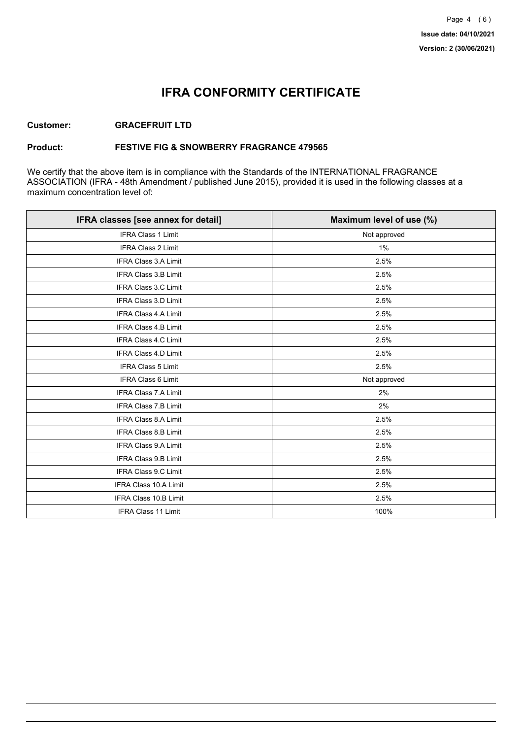## **IFRA CONFORMITY CERTIFICATE**

### **Customer: GRACEFRUIT LTD**

### **Product: FESTIVE FIG & SNOWBERRY FRAGRANCE 479565**

We certify that the above item is in compliance with the Standards of the INTERNATIONAL FRAGRANCE ASSOCIATION (IFRA - 48th Amendment / published June 2015), provided it is used in the following classes at a maximum concentration level of:

| IFRA classes [see annex for detail] | Maximum level of use (%) |
|-------------------------------------|--------------------------|
| <b>IFRA Class 1 Limit</b>           | Not approved             |
| IFRA Class 2 Limit                  | 1%                       |
| <b>IFRA Class 3.A Limit</b>         | 2.5%                     |
| IFRA Class 3.B Limit                | 2.5%                     |
| IFRA Class 3.C Limit                | 2.5%                     |
| IFRA Class 3.D Limit                | 2.5%                     |
| <b>IFRA Class 4.A Limit</b>         | 2.5%                     |
| <b>IFRA Class 4.B Limit</b>         | 2.5%                     |
| IFRA Class 4.C Limit                | 2.5%                     |
| <b>IFRA Class 4.D Limit</b>         | 2.5%                     |
| <b>IFRA Class 5 Limit</b>           | 2.5%                     |
| <b>IFRA Class 6 Limit</b>           | Not approved             |
| <b>IFRA Class 7.A Limit</b>         | 2%                       |
| IFRA Class 7.B Limit                | 2%                       |
| IFRA Class 8.A Limit                | 2.5%                     |
| IFRA Class 8.B Limit                | 2.5%                     |
| <b>IFRA Class 9.A Limit</b>         | 2.5%                     |
| <b>IFRA Class 9.B Limit</b>         | 2.5%                     |
| IFRA Class 9.C Limit                | 2.5%                     |
| IFRA Class 10.A Limit               | 2.5%                     |
| IFRA Class 10.B Limit               | 2.5%                     |
| <b>IFRA Class 11 Limit</b>          | 100%                     |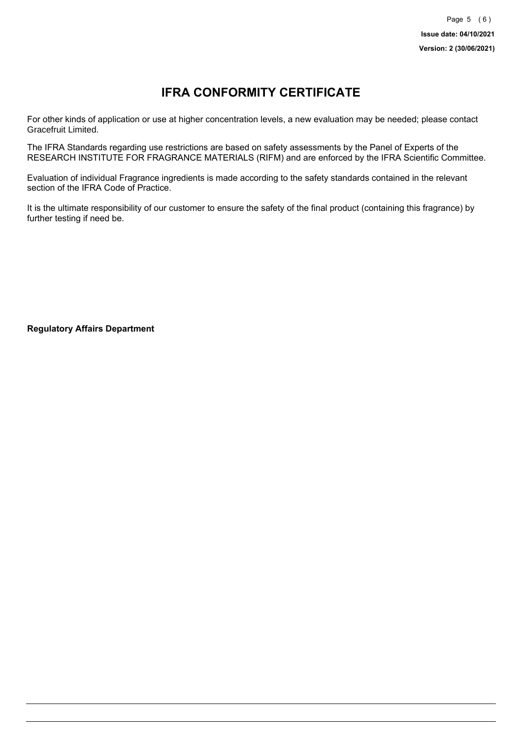# **IFRA CONFORMITY CERTIFICATE**

For other kinds of application or use at higher concentration levels, a new evaluation may be needed; please contact Gracefruit Limited.

The IFRA Standards regarding use restrictions are based on safety assessments by the Panel of Experts of the RESEARCH INSTITUTE FOR FRAGRANCE MATERIALS (RIFM) and are enforced by the IFRA Scientific Committee.

Evaluation of individual Fragrance ingredients is made according to the safety standards contained in the relevant section of the IFRA Code of Practice.

It is the ultimate responsibility of our customer to ensure the safety of the final product (containing this fragrance) by further testing if need be.

**Regulatory Affairs Department**